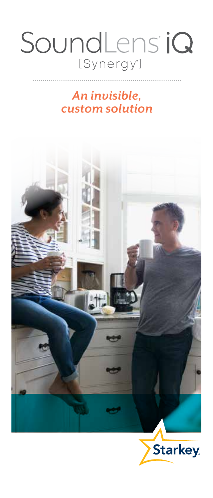### SoundLens iQ [Synergy<sup>\*</sup>]

### *An invisible, custom solution*

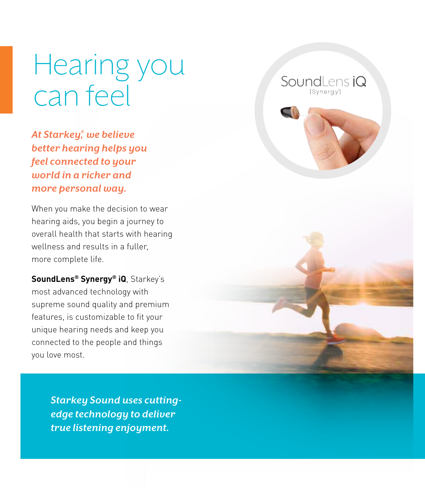Hearing you can feel

SoundLens *iQ* 

*At Starkey® , we believe better hearing helps you feel connected to your world in a richer and more personal way.*

When you make the decision to wear hearing aids, you begin a journey to overall health that starts with hearing wellness and results in a fuller, more complete life.

**SoundLens® Synergy® iQ**, Starkey's most advanced technology with supreme sound quality and premium features, is customizable to fit your unique hearing needs and keep you connected to the people and things you love most.

> *Starkey Sound uses cuttingedge technology to deliver true listening enjoyment.*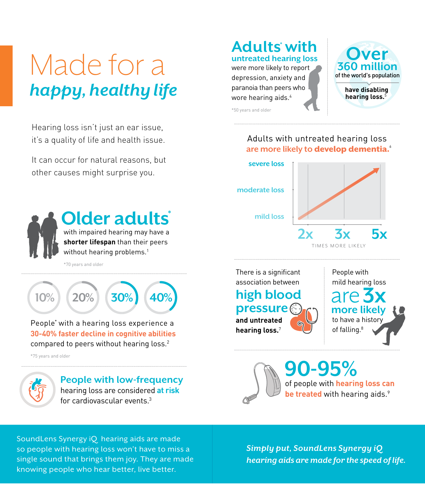# Made for a *happy, healthy life*

Hearing loss isn't just an ear issue, it's a quality of life and health issue.

It can occur for natural reasons, but other causes might surprise you.



## **Older adults \***

with impaired hearing may have a **shorter lifespan** than their peers without hearing problems.<sup>1</sup>

\*70 years and older



People\* with a hearing loss experience a **30-40% faster decline in cognitive abilities** compared to peers without hearing loss.<sup>2</sup>

\*75 years and older



#### **People with low-frequency** hearing loss are considered **at risk** for cardiovascular events.3

### **Adults \* with untreated hearing loss**

were more likely to report depression, anxiety and paranoia than peers who wore hearing aids.4



\*50 years and older

#### Adults with untreated hearing loss are more likely to **develop dementia.**<sup>6</sup>



There is a significant association between

### **high blood pressure and untreated**

**hearing loss.**<sup>7</sup>

People with mild hearing loss are 3x to have a history of falling.<sup>8</sup> **more likely**

of people with **hearing loss can 90-95% be treated** with hearing aids.<sup>9</sup>

SoundLens Synergy iQ hearing aids are made so people with hearing loss won't have to miss a single sound that brings them joy. They are made knowing people who hear better, live better.

*Simply put, SoundLens Synergy iQ hearing aids are made for the speed of life.*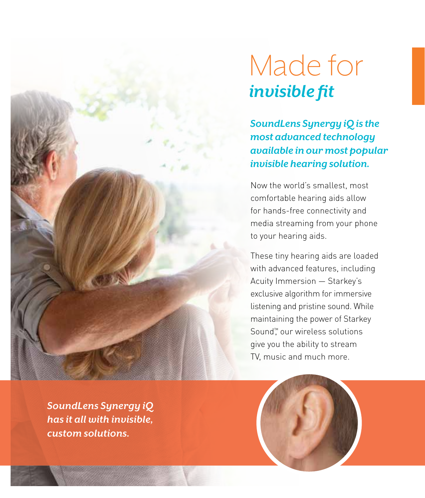## Made for *invisible fit*

*SoundLens Synergy iQ is the most advanced technology available in our most popular invisible hearing solution.*

Now the world's smallest, most comfortable hearing aids allow for hands-free connectivity and media streaming from your phone to your hearing aids.

These tiny hearing aids are loaded with advanced features, including Acuity Immersion — Starkey's exclusive algorithm for immersive listening and pristine sound. While maintaining the power of Starkey Sound<sup>™</sup> our wireless solutions give you the ability to stream TV, music and much more.

*SoundLens Synergy iQ has it all with invisible, custom solutions.*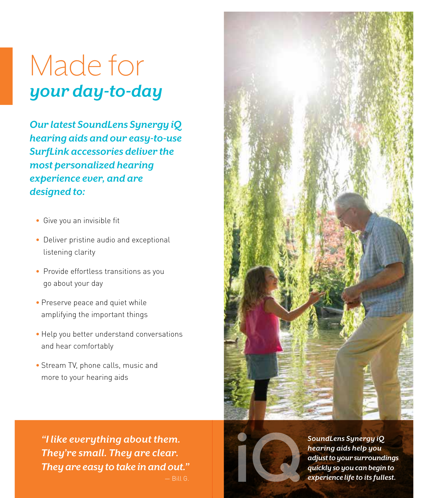## Made for *your day-to-day*

*Our latest SoundLens Synergy iQ hearing aids and our easy-to-use SurfLink accessories deliver the most personalized hearing experience ever, and are designed to:*

- Give you an invisible fit
- Deliver pristine audio and exceptional listening clarity
- Provide effortless transitions as you go about your day
- Preserve peace and quiet while amplifying the important things
- Help you better understand conversations and hear comfortably
- Stream TV, phone calls, music and more to your hearing aids

*"I like everything about them. They're small. They are clear. They are easy to take in and out."*





*SoundLens Synergy iQ hearing aids help you adjust to your surroundings quickly so you can begin to experience life to its fullest.*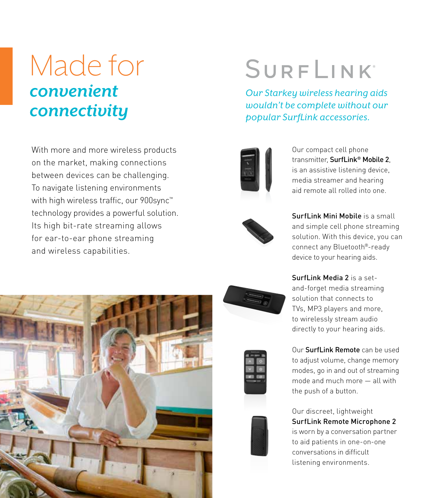## Made for *convenient connectivity*

With more and more wireless products on the market, making connections between devices can be challenging. To navigate listening environments with high wireless traffic, our 900sync™ technology provides a powerful solution. Its high bit-rate streaming allows for ear-to-ear phone streaming and wireless capabilities.



# **SURFLINK**

*Our Starkey wireless hearing aids wouldn't be complete without our popular SurfLink accessories.*



Our compact cell phone transmitter, SurfLink® Mobile 2, is an assistive listening device, media streamer and hearing aid remote all rolled into one.



SurfLink Mini Mobile is a small and simple cell phone streaming solution. With this device, you can connect any Bluetooth®-ready device to your hearing aids.

Surfl ink Media 2 is a setand-forget media streaming solution that connects to TVs, MP3 players and more, to wirelessly stream audio directly to your hearing aids.

Our SurfLink Remote can be used to adjust volume, change memory modes, go in and out of streaming mode and much more — all with the push of a button.



Our discreet, lightweight SurfLink Remote Microphone 2 is worn by a conversation partner to aid patients in one-on-one conversations in difficult listening environments.



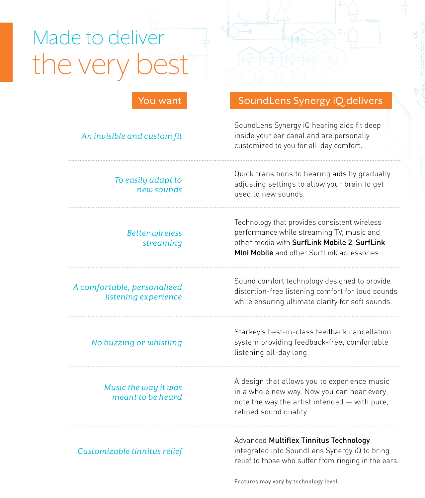# the very Made to deliver



#### *An invisible and custom fit*

*To easily adapt to new sounds*

#### *Better wireless streaming*

#### *A comfortable, personalized listening experience*

*No buzzing or whistling*

#### *Music the way it was meant to be heard*

#### *Customizable tinnitus relief*

### SoundLens Synergy iQ delivers

SoundLens Synergy iQ hearing aids fit deep inside your ear canal and are personally customized to you for all-day comfort.

Quick transitions to hearing aids by gradually adjusting settings to allow your brain to get used to new sounds.

Technology that provides consistent wireless performance while streaming TV, music and other media with SurfLink Mobile 2, SurfLink Mini Mobile and other SurfLink accessories

Sound comfort technology designed to provide distortion-free listening comfort for loud sounds while ensuring ultimate clarity for soft sounds.

Starkey's best-in-class feedback cancellation system providing feedback-free, comfortable listening all-day long.

A design that allows you to experience music in a whole new way. Now you can hear every note the way the artist intended — with pure, refined sound quality.

#### Advanced Multiflex Tinnitus Technology

integrated into SoundLens Synergy iQ to bring relief to those who suffer from ringing in the ears.

Features may vary by technology level.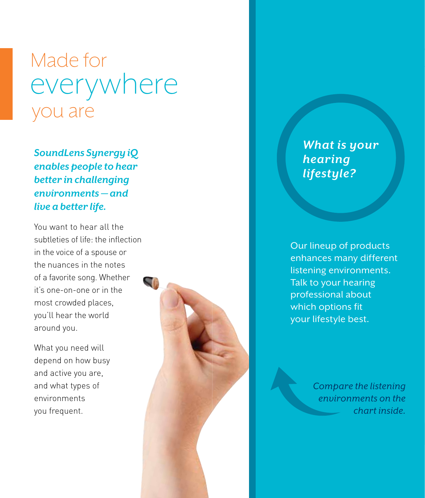## Made for you are everywhere

*SoundLens Synergy iQ enables people to hear better in challenging environments — and live a better life.*

You want to hear all the subtleties of life: the inflection in the voice of a spouse or the nuances in the notes of a favorite song. Whether it's one-on-one or in the most crowded places, you'll hear the world around you.

What you need will depend on how busy and active you are, and what types of environments you frequent.



*What is your hearing lifestyle?*

**VERY ACTIVE**

Crowd

Party

Meeting

Conversation

**Talk to your hearing** enhances many different our lifestyle best. Our lineup of products listening environments. professional about which options fit

> n<br><sup>isi</sup> *Compare the listening environments on the chart inside.*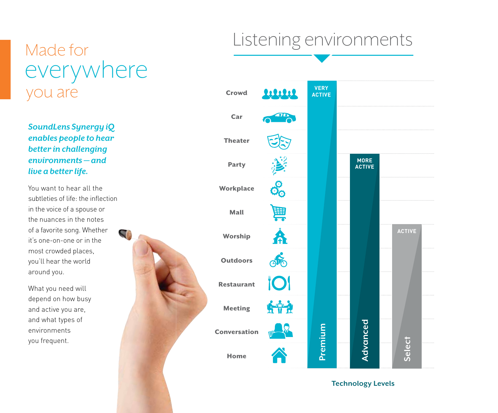## Listening environments

## Made for you are everywhere

*SoundLens Synergy iQ enables people to hear better in challenging environments — and live a better life.*

You want to hear all the subtleties of life: the inflection in the voice of a spouse or the nuances in the notes of a favorite song. Whether it's one-on-one or in the most crowded places, you'll hear the world around you.

SG

What you need will depend on how busy and active you are, and what types of environments you frequent.



**Technology Levels**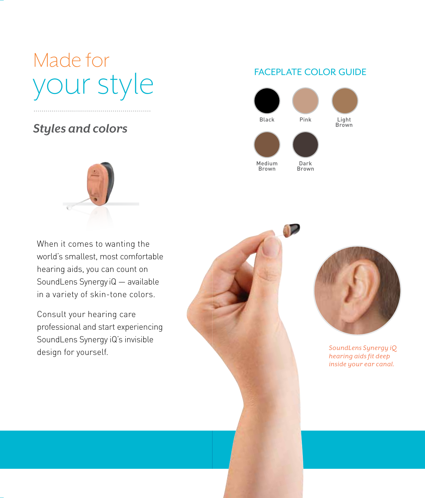# Made for Made for your style your style

### *Styles and colors Styles and colors*

### FACEPLATE COLOR GUIDE





When it comes to wanting the When it comes to wanting the world's smallest, most comfortable world's smallest, most comfortable hearing aids, you can count on hearing aids, you can count on SoundLens Synergy iQ — available SoundLens Synergy iQ — available in a variety of skin-tone colors. in a variety of skin-tone colors.

Consult your hearing care Consult your hearing care professional and start experiencing professional and start experiencing SoundLens Synergy iQ's invisible SoundLens Synergy iQ's invisible design for yourself. design for yourself.





*SoundLens Synergy iQ hearing aids fit deep inside your ear canal.*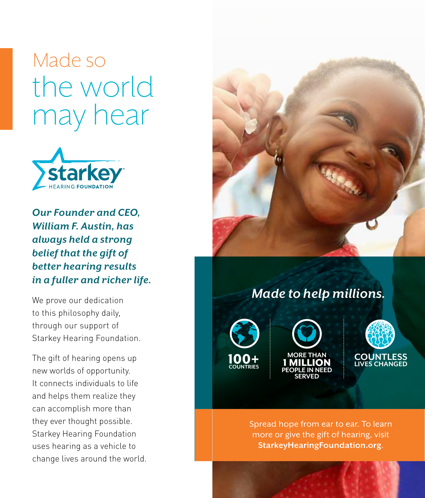# Made so the world may hear



*Our Founder and CEO, William F. Austin, has always held a strong belief that the gift of better hearing results in a fuller and richer life.*

We prove our dedication to this philosophy daily, through our support of Starkey Hearing Foundation.

The gift of hearing opens up new worlds of opportunity. It connects individuals to life and helps them realize they can accomplish more than they ever thought possible. Starkey Hearing Foundation uses hearing as a vehicle to change lives around the world.



### *Made to help millions.*







Spread hope from ear to ear. To learn more or give the gift of hearing, visit **StarkeyHearingFoundation.org**.